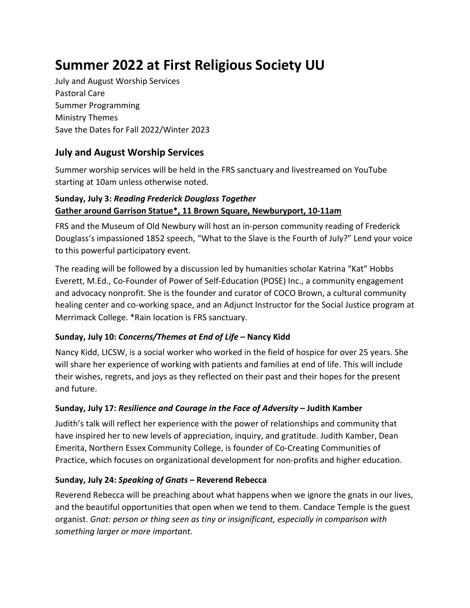# **Summer 2022 at First Religious Society UU**

July and August Worship Services Pastoral Care Summer Programming Ministry Themes Save the Dates for Fall 2022/Winter 2023

## **July and August Worship Services**

Summer worship services will be held in the FRS sanctuary and livestreamed on YouTube starting at 10am unless otherwise noted.

## **Sunday, July 3:** *Reading Frederick Douglass Together* **Gather around Garrison Statue\*, 11 Brown Square, Newburyport, 10-11am**

FRS and the Museum of Old Newbury will host an in-person community reading of Frederick Douglass's impassioned 1852 speech, "What to the Slave is the Fourth of July?" Lend your voice to this powerful participatory event.

The reading will be followed by a discussion led by humanities scholar Katrina "Kat" Hobbs Everett, M.Ed., Co-Founder of Power of Self-Education (POSE) Inc., a community engagement and advocacy nonprofit. She is the founder and curator of COCO Brown, a cultural community healing center and co-working space, and an Adjunct Instructor for the Social Justice program at Merrimack College. \*Rain location is FRS sanctuary.

## **Sunday, July 10:** *Concerns/Themes at End of Life* **– Nancy Kidd**

Nancy Kidd, LICSW, is a social worker who worked in the field of hospice for over 25 years. She will share her experience of working with patients and families at end of life. This will include their wishes, regrets, and joys as they reflected on their past and their hopes for the present and future.

## **Sunday, July 17:** *Resilience and Courage in the Face of Adversity* **– Judith Kamber**

Judith's talk will reflect her experience with the power of relationships and community that have inspired her to new levels of appreciation, inquiry, and gratitude. Judith Kamber, Dean Emerita, Northern Essex Community College, is founder of Co-Creating Communities of Practice, which focuses on organizational development for non-profits and higher education.

## **Sunday, July 24:** *Speaking of Gnats* **– Reverend Rebecca**

Reverend Rebecca will be preaching about what happens when we ignore the gnats in our lives, and the beautiful opportunities that open when we tend to them. Candace Temple is the guest organist. *Gnat: person or thing seen as tiny or insignificant, especially in comparison with something larger or more important.*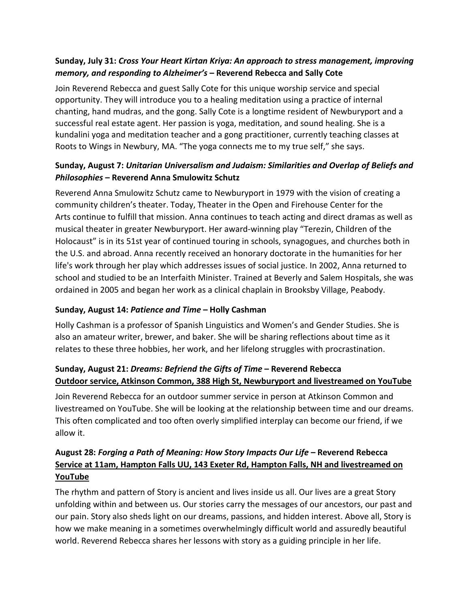## **Sunday, July 31:** *Cross Your Heart Kirtan Kriya: An approach to stress management, improving memory, and responding to Alzheimer's* **– Reverend Rebecca and Sally Cote**

Join Reverend Rebecca and guest Sally Cote for this unique worship service and special opportunity. They will introduce you to a healing meditation using a practice of internal chanting, hand mudras, and the gong. Sally Cote is a longtime resident of Newburyport and a successful real estate agent. Her passion is yoga, meditation, and sound healing. She is a kundalini yoga and meditation teacher and a gong practitioner, currently teaching classes at Roots to Wings in Newbury, MA. "The yoga connects me to my true self," she says.

## **Sunday, August 7:** *Unitarian Universalism and Judaism: Similarities and Overlap of Beliefs and Philosophies* **– Reverend Anna Smulowitz Schutz**

Reverend Anna Smulowitz Schutz came to Newburyport in 1979 with the vision of creating a community children's theater. Today, Theater in the Open and Firehouse Center for the Arts continue to fulfill that mission. Anna continues to teach acting and direct dramas as well as musical theater in greater Newburyport. Her award-winning play "Terezin, Children of the Holocaust" is in its 51st year of continued touring in schools, synagogues, and churches both in the U.S. and abroad. Anna recently received an honorary doctorate in the humanities for her life's work through her play which addresses issues of social justice. In 2002, Anna returned to school and studied to be an Interfaith Minister. Trained at Beverly and Salem Hospitals, she was ordained in 2005 and began her work as a clinical chaplain in Brooksby Village, Peabody.

#### **Sunday, August 14:** *Patience and Time* **– Holly Cashman**

Holly Cashman is a professor of Spanish Linguistics and Women's and Gender Studies. She is also an amateur writer, brewer, and baker. She will be sharing reflections about time as it relates to these three hobbies, her work, and her lifelong struggles with procrastination.

## **Sunday, August 21:** *Dreams: Befriend the Gifts of Time* **– Reverend Rebecca Outdoor service, Atkinson Common, 388 High St, Newburyport and livestreamed on YouTube**

Join Reverend Rebecca for an outdoor summer service in person at Atkinson Common and livestreamed on YouTube. She will be looking at the relationship between time and our dreams. This often complicated and too often overly simplified interplay can become our friend, if we allow it.

## **August 28:** *Forging a Path of Meaning: How Story Impacts Our Life* **– Reverend Rebecca Service at 11am, Hampton Falls UU, 143 Exeter Rd, Hampton Falls, NH and livestreamed on YouTube**

The rhythm and pattern of Story is ancient and lives inside us all. Our lives are a great Story unfolding within and between us. Our stories carry the messages of our ancestors, our past and our pain. Story also sheds light on our dreams, passions, and hidden interest. Above all, Story is how we make meaning in a sometimes overwhelmingly difficult world and assuredly beautiful world. Reverend Rebecca shares her lessons with story as a guiding principle in her life.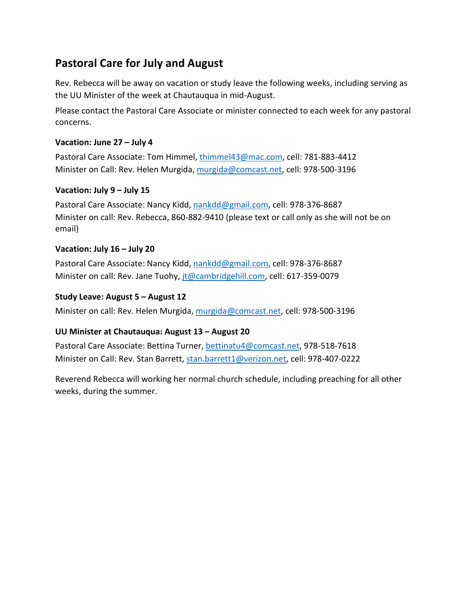## **Pastoral Care for July and August**

Rev. Rebecca will be away on vacation or study leave the following weeks, including serving as the UU Minister of the week at Chautauqua in mid-August.

Please contact the Pastoral Care Associate or minister connected to each week for any pastoral concerns.

## **Vacation: June 27 – July 4**

Pastoral Care Associate: Tom Himmel, [thimmel43@mac.com,](mailto:thimmel43@mac.com) cell: 781-883-4412 Minister on Call: Rev. Helen Murgida, [murgida@comcast.net,](mailto:murgida@comcast.net) cell: 978-500-3196

### **Vacation: July 9 – July 15**

Pastoral Care Associate: Nancy Kidd, [nankdd@gmail.com,](mailto:nankdd@gmail.com) cell: 978-376-8687 Minister on call: Rev. Rebecca, 860-882-9410 (please text or call only as she will not be on email)

### **Vacation: July 16 – July 20**

Pastoral Care Associate: Nancy Kidd, [nankdd@gmail.com,](mailto:nankdd@gmail.com) cell: 978-376-8687 Minister on call: Rev. Jane Tuohy, [jt@cambridgehill.com,](mailto:jt@cambridgehill.com) cell: 617-359-0079

#### **Study Leave: August 5 – August 12**

Minister on call: Rev. Helen Murgida, [murgida@comcast.net,](mailto:murgida@comcast.net) cell: 978-500-3196

## **UU Minister at Chautauqua: August 13 – August 20**

Pastoral Care Associate: Bettina Turner, [bettinatu4@comcast.net,](mailto:bettinatu4@comcast.net) 978-518-7618 Minister on Call: Rev. Stan Barrett, [stan.barrett1@verizon.net,](mailto:stan.barrett1@verizon.net) cell: 978-407-0222

Reverend Rebecca will working her normal church schedule, including preaching for all other weeks, during the summer.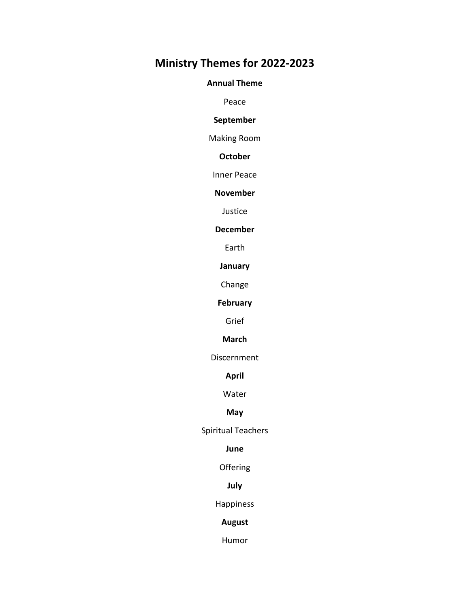## **Ministry Themes for 2022-2023**

#### **Annual Theme**

Peace

#### **September**

Making Room

#### **October**

Inner Peace

#### **November**

Justice

#### **December**

Earth

#### **January**

Change

## **February**

Grief

#### **March**

Discernment

#### **April**

Water

#### **May**

Spiritual Teachers

#### **June**

Offering

## **July**

### Happiness

#### **August**

Humor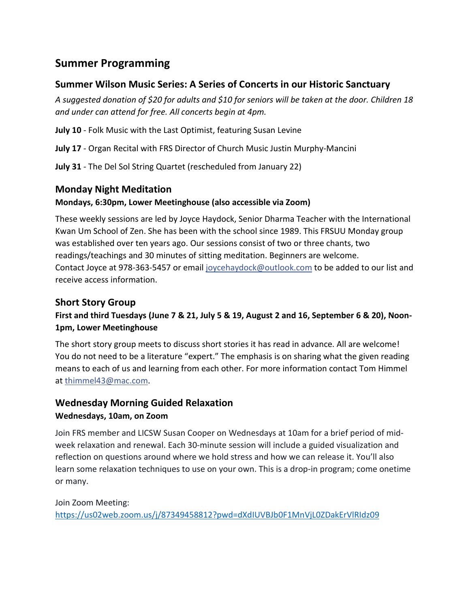## **Summer Programming**

## **Summer Wilson Music Series: A Series of Concerts in our Historic Sanctuary**

*A suggested donation of \$20 for adults and \$10 for seniors will be taken at the door. Children 18 and under can attend for free. All concerts begin at 4pm.*

**July 10** - Folk Music with the Last Optimist, featuring Susan Levine

**July 17** - Organ Recital with FRS Director of Church Music Justin Murphy-Mancini

**July 31** - The Del Sol String Quartet (rescheduled from January 22)

## **Monday Night Meditation**

## **Mondays, 6:30pm, Lower Meetinghouse (also accessible via Zoom)**

These weekly sessions are led by Joyce Haydock, Senior Dharma Teacher with the International Kwan Um School of Zen. She has been with the school since 1989. This FRSUU Monday group was established over ten years ago. Our sessions consist of two or three chants, two readings/teachings and 30 minutes of sitting meditation. Beginners are welcome. Contact Joyce at 978-363-5457 or email [joycehaydock@outlook.com](mailto:joycehaydock@outlook.com) to be added to our list and receive access information.

## **Short Story Group**

## **First and third Tuesdays (June 7 & 21, July 5 & 19, August 2 and 16, September 6 & 20), Noon-1pm, Lower Meetinghouse**

The short story group meets to discuss short stories it has read in advance. All are welcome! You do not need to be a literature "expert." The emphasis is on sharing what the given reading means to each of us and learning from each other. For more information contact Tom Himmel at [thimmel43@mac.com.](mailto:thimmel43@mac.com)

## **Wednesday Morning Guided Relaxation Wednesdays, 10am, on Zoom**

Join FRS member and LICSW Susan Cooper on Wednesdays at 10am for a brief period of midweek relaxation and renewal. Each 30-minute session will include a guided visualization and reflection on questions around where we hold stress and how we can release it. You'll also learn some relaxation techniques to use on your own. This is a drop-in program; come onetime or many.

Join Zoom Meeting: <https://us02web.zoom.us/j/87349458812?pwd=dXdIUVBJb0F1MnVjL0ZDakErVlRIdz09>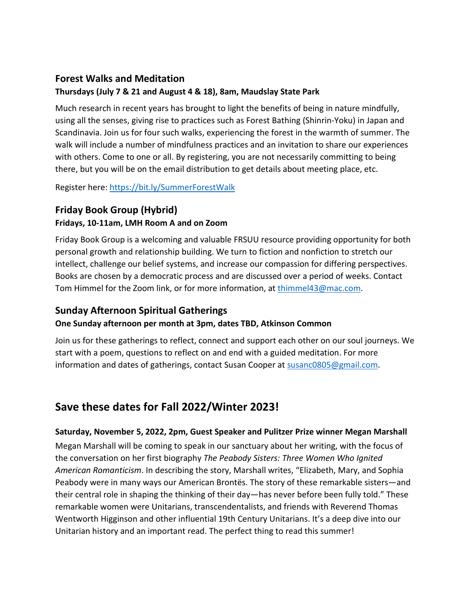## **Forest Walks and Meditation**

## **Thursdays (July 7 & 21 and August 4 & 18), 8am, Maudslay State Park**

Much research in recent years has brought to light the benefits of being in nature mindfully, using all the senses, giving rise to practices such as Forest Bathing (Shinrin-Yoku) in Japan and Scandinavia. Join us for four such walks, experiencing the forest in the warmth of summer. The walk will include a number of mindfulness practices and an invitation to share our experiences with others. Come to one or all. By registering, you are not necessarily committing to being there, but you will be on the email distribution to get details about meeting place, etc.

Register here:<https://bit.ly/SummerForestWalk>

## **Friday Book Group (Hybrid)**

## **Fridays, 10-11am, LMH Room A and on Zoom**

Friday Book Group is a welcoming and valuable FRSUU resource providing opportunity for both personal growth and relationship building. We turn to fiction and nonfiction to stretch our intellect, challenge our belief systems, and increase our compassion for differing perspectives. Books are chosen by a democratic process and are discussed over a period of weeks. Contact Tom Himmel for the Zoom link, or for more information, at **thimmel43@mac.com**.

## **Sunday Afternoon Spiritual Gatherings**

## **One Sunday afternoon per month at 3pm, dates TBD, Atkinson Common**

Join us for these gatherings to reflect, connect and support each other on our soul journeys. We start with a poem, questions to reflect on and end with a guided meditation. For more information and dates of gatherings, contact Susan Cooper at [susanc0805@gmail.com.](mailto:susanc0805@gmail.com)

## **Save these dates for Fall 2022/Winter 2023!**

#### **Saturday, November 5, 2022, 2pm, Guest Speaker and Pulitzer Prize winner Megan Marshall**

Megan Marshall will be coming to speak in our sanctuary about her writing, with the focus of the conversation on her first biography *The Peabody Sisters: Three Women Who Ignited American Romanticism*. In describing the story, Marshall writes, "Elizabeth, Mary, and Sophia Peabody were in many ways our American Brontës. The story of these remarkable sisters—and their central role in shaping the thinking of their day—has never before been fully told." These remarkable women were Unitarians, transcendentalists, and friends with Reverend Thomas Wentworth Higginson and other influential 19th Century Unitarians. It's a deep dive into our Unitarian history and an important read. The perfect thing to read this summer!